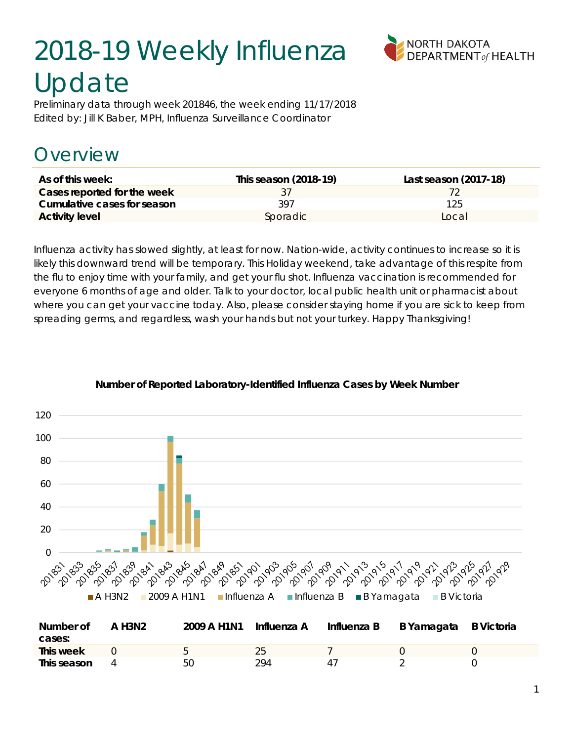# 2018-19 Weekly Influenza Update



Preliminary data through week 201846, the week ending 11/17/2018 Edited by: Jill K Baber, MPH, Influenza Surveillance Coordinator

# Overview

| As of this week:            | This season (2018-19) | Last season (2017-18) |
|-----------------------------|-----------------------|-----------------------|
| Cases reported for the week |                       |                       |
| Cumulative cases for season | 397                   | 125                   |
| <b>Activity level</b>       | Sporadic              | Local                 |

Influenza activity has slowed slightly, at least for now. Nation-wide, activity continues to increase so it is likely this downward trend will be temporary. This Holiday weekend, take advantage of this respite from the flu to enjoy time with your family, and get your flu shot. Influenza vaccination is recommended for everyone 6 months of age and older. Talk to your doctor, local public health unit or pharmacist about where you can get your vaccine today. Also, please consider staying home if you are sick to keep from spreading germs, and regardless, wash your hands but not your turkey. Happy Thanksgiving!



#### **Number of Reported Laboratory-Identified Influenza Cases by Week Number**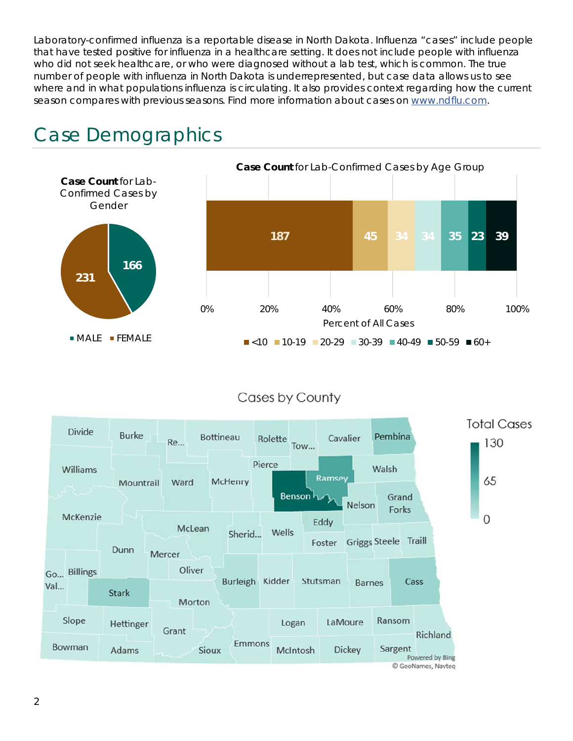Laboratory-confirmed influenza is a reportable disease in North Dakota. Influenza "cases" include people that have tested positive for influenza in a healthcare setting. It does not include people with influenza who did not seek healthcare, or who were diagnosed without a lab test, which is common. The true number of people with influenza in North Dakota is underrepresented, but case data allows us to see where and in what populations influenza is circulating. It also provides context regarding how the current season compares with previous seasons. Find more information about cases on www.ndflu.com.



# Case Demographics

#### Cases by County

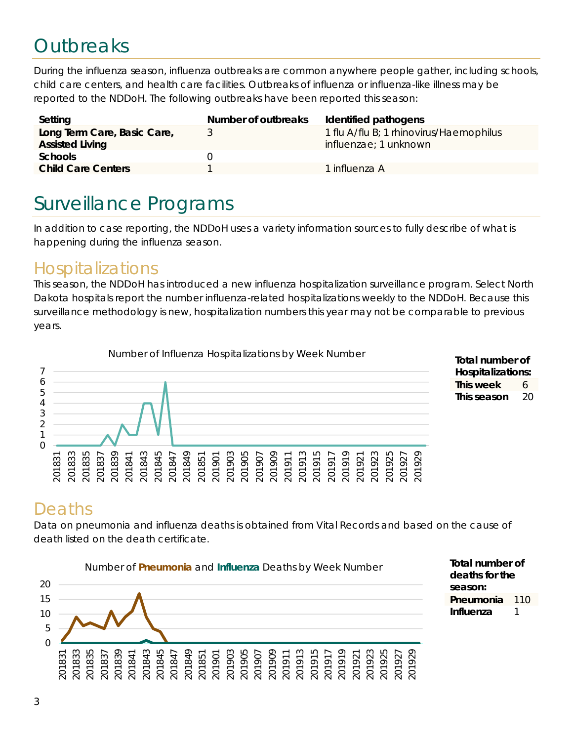# **Outbreaks**

During the influenza season, influenza outbreaks are common anywhere people gather, including schools, child care centers, and health care facilities. Outbreaks of influenza or influenza-like illness may be reported to the NDDoH. The following outbreaks have been reported this season:

| Setting                                               | Number of outbreaks | Identified pathogens                                                     |
|-------------------------------------------------------|---------------------|--------------------------------------------------------------------------|
| Long Term Care, Basic Care,<br><b>Assisted Living</b> |                     | 1 flu A/flu B; 1 rhinovirus/Haemophilus<br><i>influenzae</i> ; 1 unknown |
| <b>Schools</b>                                        |                     |                                                                          |
| <b>Child Care Centers</b>                             |                     | 1 influenza A                                                            |

# Surveillance Programs

In addition to case reporting, the NDDoH uses a variety information sources to fully describe of what is happening during the influenza season.

#### Hospitalizations

This season, the NDDoH has introduced a new influenza hospitalization surveillance program. Select North Dakota hospitals report the number influenza-related hospitalizations weekly to the NDDoH. Because this surveillance methodology is new, hospitalization numbers this year may not be comparable to previous years.





### Deaths

Data on pneumonia and influenza deaths is obtained from Vital Records and based on the cause of death listed on the death certificate.



**Total number of deaths for the season: Pneumonia** 110 **Influenza** 1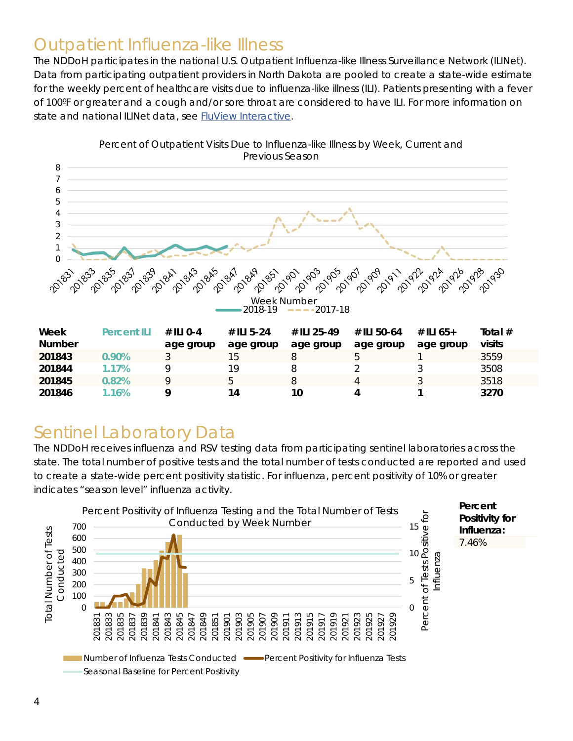#### Outpatient Influenza-like Illness

The NDDoH participates in the national U.S. Outpatient Influenza-like Illness Surveillance Network (ILINet). Data from participating outpatient providers in North Dakota are pooled to create a state-wide estimate for the weekly percent of healthcare visits due to influenza-like illness (ILI). Patients presenting with a fever of 100ºF or greater and a cough and/or sore throat are considered to have ILI. For more information on state and national ILINet data, see FluView Interactive.



Percent of Outpatient Visits Due to Influenza-like Illness by Week, Current and Previous Season

#### Sentinel Laboratory Data

The NDDoH receives influenza and RSV testing data from participating sentinel laboratories across the state. The total number of positive tests and the total number of tests conducted are reported and used to create a state-wide percent positivity statistic. For influenza, percent positivity of 10% or greater indicates "season level" influenza activity.

**201846 1.16% 9 14 10 4 1 3270** 

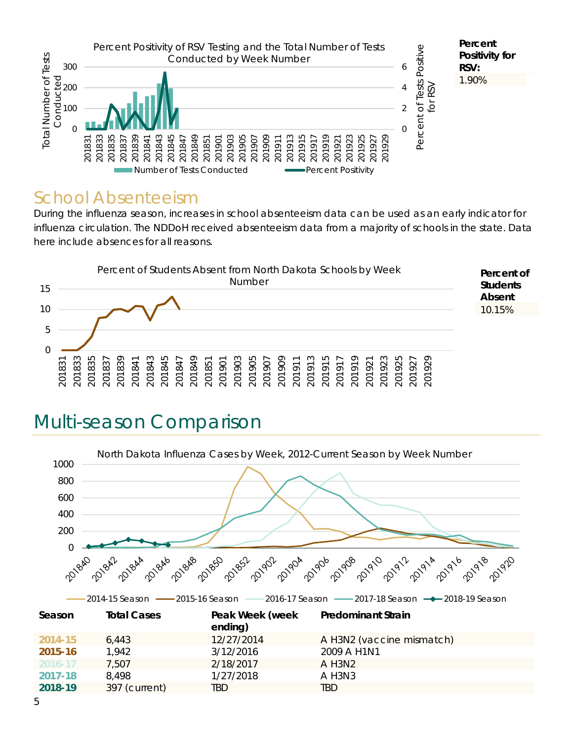

#### School Absenteeism

During the influenza season, increases in school absenteeism data can be used as an early indicator for influenza circulation. The NDDoH received absenteeism data from a majority of schools in the state. Data here include absences for all reasons.



# Multi-season Comparison